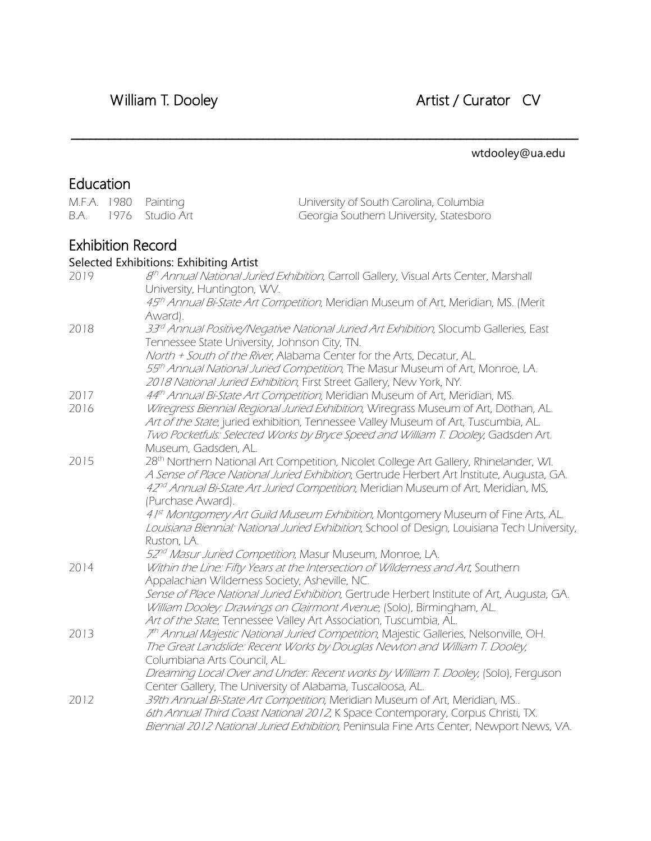# William T. Dooley **Artist / Curator CV**

### wtdooley@ua.edu

# Education

| M.F.A. 1980<br>B.A. | 1976 | Painting<br>Studio Art                  | University of South Carolina, Columbia<br>Georgia Southern University, Statesboro                                                                                               |
|---------------------|------|-----------------------------------------|---------------------------------------------------------------------------------------------------------------------------------------------------------------------------------|
|                     |      | Exhibition Record                       |                                                                                                                                                                                 |
|                     |      | Selected Exhibitions: Exhibiting Artist |                                                                                                                                                                                 |
| 2019                |      |                                         | 8 <sup>th</sup> Annual National Juried Exhibition, Carroll Gallery, Visual Arts Center, Marshall                                                                                |
|                     |      | University, Huntington, WV.             |                                                                                                                                                                                 |
|                     |      |                                         | 45 <sup>th</sup> Annual Bi-State Art Competition, Meridian Museum of Art, Meridian, MS. (Merit                                                                                  |
|                     |      | Award).                                 |                                                                                                                                                                                 |
| 2018                |      |                                         | 33 <sup>rd</sup> Annual Positive/Negative National Juried Art Exhibition, Slocumb Galleries, East<br>Tennessee State University, Johnson City, TN.                              |
|                     |      |                                         | North + South of the River, Alabama Center for the Arts, Decatur, AL.                                                                                                           |
|                     |      |                                         | 55th Annual National Juried Competition, The Masur Museum of Art, Monroe, LA.<br>2018 National Juried Exhibition, First Street Gallery, New York, NY.                           |
| 2017                |      |                                         | 44th Annual Bi-State Art Competition, Meridian Museum of Art, Meridian, MS.                                                                                                     |
| 2016                |      |                                         | Wiregress Biennial Regional Juried Exhibition, Wiregrass Museum of Art, Dothan, AL.                                                                                             |
|                     |      |                                         | Art of the State, juried exhibition, Tennessee Valley Museum of Art, Tuscumbia, AL.                                                                                             |
|                     |      |                                         | Two Pocketfuls: Selected Works by Bryce Speed and William T. Dooley, Gadsden Art.                                                                                               |
|                     |      | Museum, Gadsden, AL.                    |                                                                                                                                                                                 |
| 2015                |      |                                         | 28th Northern National Art Competition, Nicolet College Art Gallery, Rhinelander, WI.                                                                                           |
|                     |      |                                         | A Sense of Place National Juried Exhibition, Gertrude Herbert Art Institute, Augusta, GA.                                                                                       |
|                     |      | (Purchase Award).                       | 42 <sup>nd</sup> Annual Bi-State Art Juried Competition, Meridian Museum of Art, Meridian, MS,                                                                                  |
|                     |      |                                         | 41st Montgomery Art Guild Museum Exhibition, Montgomery Museum of Fine Arts, AL.                                                                                                |
|                     |      |                                         | Louisiana Biennial: National Juried Exhibition, School of Design, Louisiana Tech University,                                                                                    |
|                     |      | Ruston, LA.                             |                                                                                                                                                                                 |
|                     |      |                                         | 52 <sup>nd</sup> Masur Juried Competition, Masur Museum, Monroe, LA.                                                                                                            |
| 2014                |      |                                         | Within the Line: Fifty Years at the Intersection of Wilderness and Art, Southern                                                                                                |
|                     |      |                                         | Appalachian Wilderness Society, Asheville, NC.                                                                                                                                  |
|                     |      |                                         | Sense of Place National Juried Exhibition, Gertrude Herbert Institute of Art, Augusta, GA.                                                                                      |
|                     |      |                                         | William Dooley: Drawings on Clairmont Avenue, (Solo), Birmingham, AL.                                                                                                           |
|                     |      |                                         | Art of the State, Tennessee Valley Art Association, Tuscumbia, AL.                                                                                                              |
| 2013                |      |                                         | 7 <sup>th</sup> Annual Majestic National Juried Competition, Majestic Galleries, Nelsonville, OH.<br>The Great Landslide: Recent Works by Douglas Newton and William T. Dooley, |
|                     |      | Columbiana Arts Council, AL.            |                                                                                                                                                                                 |
|                     |      |                                         | Dreaming Local Over and Under: Recent works by William T. Dooley, (Solo), Ferguson                                                                                              |
|                     |      |                                         | Center Gallery, The University of Alabama, Tuscaloosa, AL.                                                                                                                      |
| 2012                |      |                                         | 39th Annual Bi-State Art Competition, Meridian Museum of Art, Meridian, MS                                                                                                      |
|                     |      |                                         | 6th Annual Third Coast National 2012, K Space Contemporary, Corpus Christi, TX.                                                                                                 |

Biennial 2012 National Juried Exhibition, Peninsula Fine Arts Center, Newport News, VA.

\_\_\_\_\_\_\_\_\_\_\_\_\_\_\_\_\_\_\_\_\_\_\_\_\_\_\_\_\_\_\_\_\_\_\_\_\_\_\_\_\_\_\_\_\_\_\_\_\_\_\_\_\_\_\_\_\_\_\_\_\_\_\_\_\_\_\_\_\_\_\_\_\_\_\_\_\_\_\_\_\_\_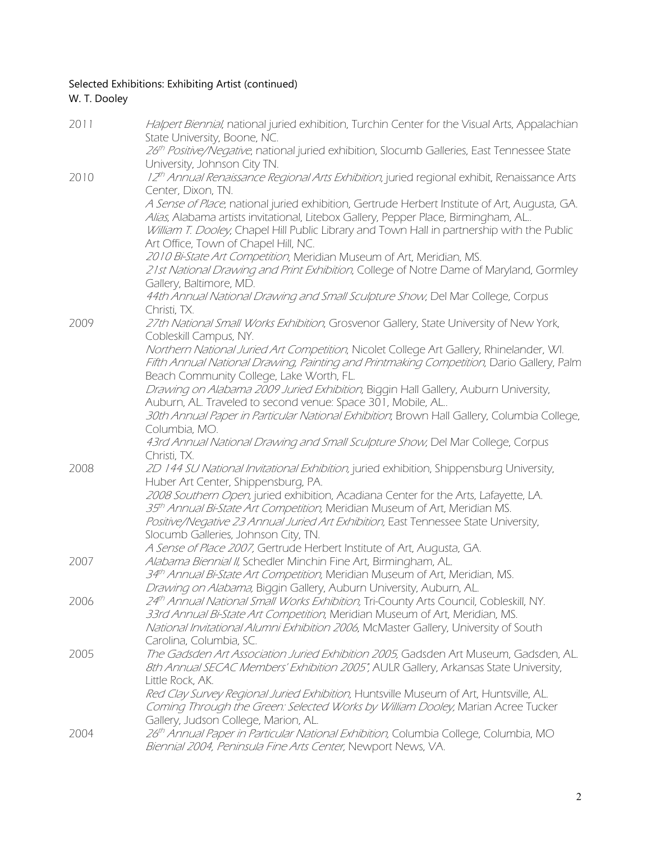#### Selected Exhibitions: Exhibiting Artist (continued) W. T. Dooley

| 2011 | Halpert Biennial, national juried exhibition, Turchin Center for the Visual Arts, Appalachian<br>State University, Boone, NC.                                                                                                                                                                                                                                                          |
|------|----------------------------------------------------------------------------------------------------------------------------------------------------------------------------------------------------------------------------------------------------------------------------------------------------------------------------------------------------------------------------------------|
|      | 26th Positive/Negative, national juried exhibition, Slocumb Galleries, East Tennessee State<br>University, Johnson City TN.                                                                                                                                                                                                                                                            |
| 2010 | 12th Annual Renaissance Regional Arts Exhibition, juried regional exhibit, Renaissance Arts<br>Center, Dixon, TN.                                                                                                                                                                                                                                                                      |
|      | A Sense of Place, national juried exhibition, Gertrude Herbert Institute of Art, Augusta, GA.<br>Alias, Alabama artists invitational, Litebox Gallery, Pepper Place, Birmingham, AL<br>William T. Dooley, Chapel Hill Public Library and Town Hall in partnership with the Public<br>Art Office, Town of Chapel Hill, NC.                                                              |
|      | 2010 Bi-State Art Competition, Meridian Museum of Art, Meridian, MS.<br>21st National Drawing and Print Exhibition, College of Notre Dame of Maryland, Gormley<br>Gallery, Baltimore, MD.                                                                                                                                                                                              |
|      | 44th Annual National Drawing and Small Sculpture Show, Del Mar College, Corpus<br>Christi, TX.                                                                                                                                                                                                                                                                                         |
| 2009 | 27th National Small Works Exhibition, Grosvenor Gallery, State University of New York,<br>Cobleskill Campus, NY.                                                                                                                                                                                                                                                                       |
|      | Northern National Juried Art Competition, Nicolet College Art Gallery, Rhinelander, WI.<br>Fifth Annual National Drawing, Painting and Printmaking Competition, Dario Gallery, Palm<br>Beach Community College, Lake Worth, FL.                                                                                                                                                        |
|      | Drawing on Alabama 2009 Juried Exhibition, Biggin Hall Gallery, Auburn University,<br>Auburn, AL. Traveled to second venue: Space 301, Mobile, AL                                                                                                                                                                                                                                      |
|      | 30th Annual Paper in Particular National Exhibition; Brown Hall Gallery, Columbia College,<br>Columbia, MO.                                                                                                                                                                                                                                                                            |
|      | 43rd Annual National Drawing and Small Sculpture Show, Del Mar College, Corpus<br>Christi, TX.                                                                                                                                                                                                                                                                                         |
| 2008 | 2D 144 SU National Invitational Exhibition, juried exhibition, Shippensburg University,<br>Huber Art Center, Shippensburg, PA.                                                                                                                                                                                                                                                         |
|      | 2008 Southern Open, juried exhibition, Acadiana Center for the Arts, Lafayette, LA.<br>35 <sup>th</sup> Annual Bi-State Art Competition, Meridian Museum of Art, Meridian MS.<br>Positive/Negative 23 Annual Juried Art Exhibition, East Tennessee State University,<br>Slocumb Galleries, Johnson City, TN.<br>A Sense of Place 2007, Gertrude Herbert Institute of Art, Augusta, GA. |
| 2007 | Alabama Biennial II, Schedler Minchin Fine Art, Birmingham, AL.<br>34th Annual Bi-State Art Competition, Meridian Museum of Art, Meridian, MS.                                                                                                                                                                                                                                         |
| 2006 | <i>Drawing on Alabama,</i> Biggin Gallery, Auburn University, Auburn, AL<br>24th Annual National Small Works Exhibition, Tri-County Arts Council, Cobleskill, NY.<br>33rd Annual Bi-State Art Competition, Meridian Museum of Art, Meridian, MS.<br>National Invitational Alumni Exhibition 2006, McMaster Gallery, University of South                                                |
| 2005 | Carolina, Columbia, SC.<br>The Gadsden Art Association Juried Exhibition 2005, Gadsden Art Museum, Gadsden, AL.<br>8th Annual SECAC Members' Exhibition 2005", AULR Gallery, Arkansas State University,<br>Little Rock, AK.<br>Red Clay Survey Regional Juried Exhibition, Huntsville Museum of Art, Huntsville, AL.                                                                   |
|      | Coming Through the Green: Selected Works by William Dooley, Marian Acree Tucker<br>Gallery, Judson College, Marion, AL.                                                                                                                                                                                                                                                                |
| 2004 | 26th Annual Paper in Particular National Exhibition, Columbia College, Columbia, MO<br>Biennial 2004, Peninsula Fine Arts Center, Newport News, VA.                                                                                                                                                                                                                                    |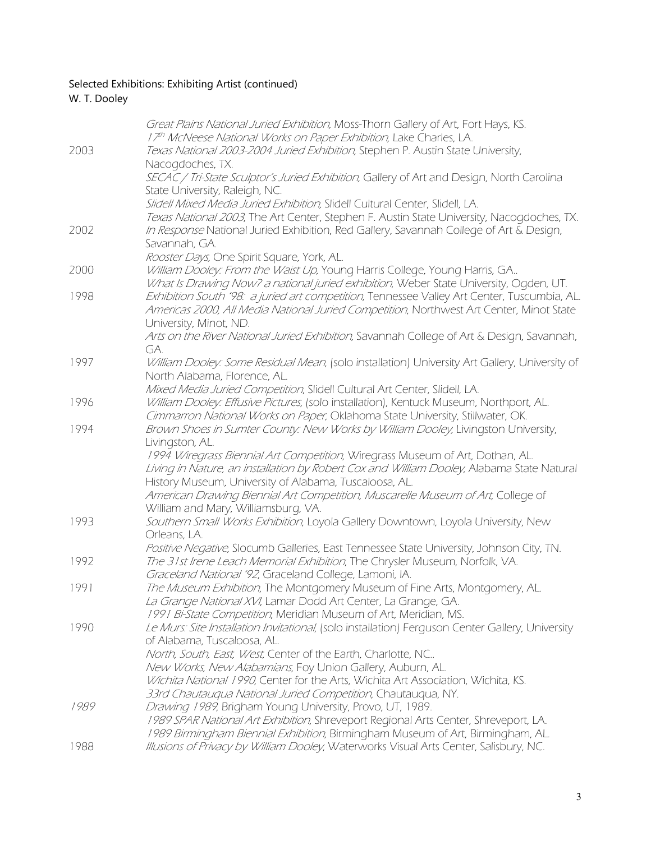### Selected Exhibitions: Exhibiting Artist (continued)

### W. T. Dooley

|      | Great Plains National Juried Exhibition, Moss-Thorn Gallery of Art, Fort Hays, KS.               |
|------|--------------------------------------------------------------------------------------------------|
|      | 17th McNeese National Works on Paper Exhibition, Lake Charles, LA.                               |
| 2003 | Texas National 2003-2004 Juried Exhibition, Stephen P. Austin State University,                  |
|      | Nacogdoches, TX.                                                                                 |
|      | SECAC / Tri-State Sculptor's Juried Exhibition, Gallery of Art and Design, North Carolina        |
|      | State University, Raleigh, NC.                                                                   |
|      | Slidell Mixed Media Juried Exhibition, Slidell Cultural Center, Slidell, LA.                     |
|      | Texas National 2003, The Art Center, Stephen F. Austin State University, Nacogdoches, TX.        |
| 2002 | In Response National Juried Exhibition, Red Gallery, Savannah College of Art & Design,           |
|      | Savannah, GA.                                                                                    |
|      | Rooster Days, One Spirit Square, York, AL.                                                       |
| 2000 | William Dooley: From the Waist Up, Young Harris College, Young Harris, GA                        |
|      | What Is Drawing Now? a national juried exhibition, Weber State University, Ogden, UT.            |
| 1998 | Exhibition South '98: a juried art competition, Tennessee Valley Art Center, Tuscumbia, AL.      |
|      | Americas 2000, All Media National Juried Competition, Northwest Art Center, Minot State          |
|      | University, Minot, ND.                                                                           |
|      | Arts on the River National Juried Exhibition, Savannah College of Art & Design, Savannah,        |
|      | GA.                                                                                              |
| 1997 | William Dooley: Some Residual Mean, (solo installation) University Art Gallery, University of    |
|      | North Alabama, Florence, AL.                                                                     |
|      | Mixed Media Juried Competition, Slidell Cultural Art Center, Slidell, LA.                        |
| 1996 | William Dooley: Effusive Pictures, (solo installation), Kentuck Museum, Northport, AL.           |
|      | Cimmarron National Works on Paper, Oklahoma State University, Stillwater, OK.                    |
| 1994 | Brown Shoes in Sumter County: New Works by William Dooley, Livingston University,                |
|      | Livingston, AL.                                                                                  |
|      | 1994 Wiregrass Biennial Art Competition, Wiregrass Museum of Art, Dothan, AL.                    |
|      | Living in Nature, an installation by Robert Cox and William Dooley, Alabama State Natural        |
|      | History Museum, University of Alabama, Tuscaloosa, AL.                                           |
|      | American Drawing Biennial Art Competition, Muscarelle Museum of Art, College of                  |
|      | William and Mary, Williamsburg, VA.                                                              |
| 1993 | Southern Small Works Exhibition, Loyola Gallery Downtown, Loyola University, New                 |
|      | Orleans, LA.                                                                                     |
|      | Positive Negative, Slocumb Galleries, East Tennessee State University, Johnson City, TN.         |
| 1992 | The 31st Irene Leach Memorial Exhibition, The Chrysler Museum, Norfolk, VA.                      |
|      | Graceland National '92, Graceland College, Lamoni, IA.                                           |
| 1991 | The Museum Exhibition, The Montgomery Museum of Fine Arts, Montgomery, AL.                       |
|      | La Grange National XVI, Lamar Dodd Art Center, La Grange, GA.                                    |
|      | 1991 Bi-State Competition, Meridian Museum of Art, Meridian, MS.                                 |
| 1990 | Le Murs: Site Installation Invitational, (solo installation) Ferguson Center Gallery, University |
|      | of Alabama, Tuscaloosa, AL.                                                                      |
|      | North, South, East, West, Center of the Earth, Charlotte, NC                                     |
|      | New Works, New Alabamians, Foy Union Gallery, Auburn, AL.                                        |
|      | Wichita National 1990, Center for the Arts, Wichita Art Association, Wichita, KS.                |
|      | 33rd Chautauqua National Juried Competition, Chautauqua, NY.                                     |
| 1989 | Drawing 1989, Brigham Young University, Provo, UT, 1989.                                         |
|      | 1989 SPAR National Art Exhibition, Shreveport Regional Arts Center, Shreveport, LA.              |
|      | 1989 Birmingham Biennial Exhibition, Birmingham Museum of Art, Birmingham, AL.                   |
| 1988 | Illusions of Privacy by William Dooley, Waterworks Visual Arts Center, Salisbury, NC.            |
|      |                                                                                                  |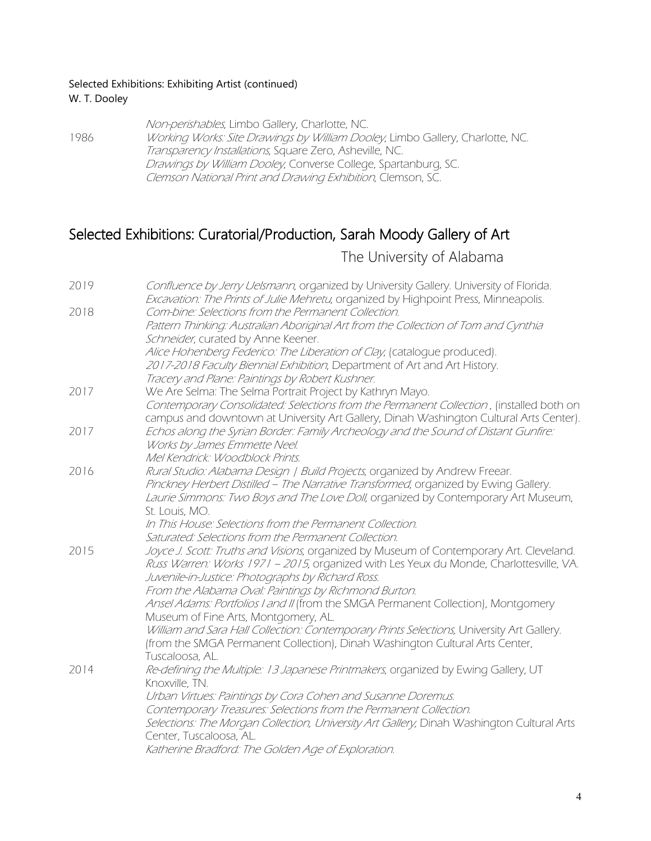#### Selected Exhibitions: Exhibiting Artist (continued) W. T. Dooley

Non-perishables, Limbo Gallery, Charlotte, NC. 1986 Working Works: Site Drawings by William Dooley, Limbo Gallery, Charlotte, NC. Transparency Installations, Square Zero, Asheville, NC. Drawings by William Dooley, Converse College, Spartanburg, SC. Clemson National Print and Drawing Exhibition, Clemson, SC.

### Selected Exhibitions: Curatorial/Production, Sarah Moody Gallery of Art

The University of Alabama

| 2019 | Confluence by Jerry Uelsmann, organized by University Gallery. University of Florida.<br>Excavation: The Prints of Julie Mehretu, organized by Highpoint Press, Minneapolis. |
|------|------------------------------------------------------------------------------------------------------------------------------------------------------------------------------|
| 2018 | Com-bine: Selections from the Permanent Collection.                                                                                                                          |
|      | Pattern Thinking: Australian Aboriginal Art from the Collection of Tom and Cynthia                                                                                           |
|      | Schneider, curated by Anne Keener.                                                                                                                                           |
|      | Alice Hohenberg Federico: The Liberation of Clay, (catalogue produced).                                                                                                      |
|      | 2017-2018 Faculty Biennial Exhibition, Department of Art and Art History.                                                                                                    |
|      | Tracery and Plane: Paintings by Robert Kushner.                                                                                                                              |
| 2017 | We Are Selma: The Selma Portrait Project by Kathryn Mayo.                                                                                                                    |
|      | Contemporary Consolidated: Selections from the Permanent Collection, (installed both on                                                                                      |
|      | campus and downtown at University Art Gallery, Dinah Washington Cultural Arts Center).                                                                                       |
| 2017 | Echos along the Syrian Border: Family Archeology and the Sound of Distant Gunfire:                                                                                           |
|      | Works by James Emmette Neel.                                                                                                                                                 |
|      | Mel Kendrick: Woodblock Prints.                                                                                                                                              |
| 2016 | Rural Studio: Alabama Design   Build Projects, organized by Andrew Freear.                                                                                                   |
|      | Pinckney Herbert Distilled - The Narrative Transformed, organized by Ewing Gallery.                                                                                          |
|      | Laurie Simmons: Two Boys and The Love Doll, organized by Contemporary Art Museum,                                                                                            |
|      | St. Louis, MO.                                                                                                                                                               |
|      | In This House: Selections from the Permanent Collection.                                                                                                                     |
|      | Saturated: Selections from the Permanent Collection.                                                                                                                         |
| 2015 | Joyce J. Scott: Truths and Visions, organized by Museum of Contemporary Art. Cleveland.                                                                                      |
|      | Russ Warren: Works 1971 - 2015, organized with Les Yeux du Monde, Charlottesville, VA.                                                                                       |
|      | Juvenile-in-Justice: Photographs by Richard Ross.                                                                                                                            |
|      | From the Alabama Oval: Paintings by Richmond Burton.                                                                                                                         |
|      | Ansel Adams: Portfolios I and II (from the SMGA Permanent Collection), Montgomery                                                                                            |
|      | Museum of Fine Arts, Montgomery, AL.                                                                                                                                         |
|      | William and Sara Hall Collection: Contemporary Prints Selections, University Art Gallery.                                                                                    |
|      | (from the SMGA Permanent Collection), Dinah Washington Cultural Arts Center,                                                                                                 |
|      | Tuscaloosa, AL.                                                                                                                                                              |
| 2014 | Re-defining the Multiple: 13 Japanese Printmakers, organized by Ewing Gallery, UT                                                                                            |
|      | Knoxville, TN.                                                                                                                                                               |
|      | Urban Virtues: Paintings by Cora Cohen and Susanne Doremus.                                                                                                                  |
|      | Contemporary Treasures: Selections from the Permanent Collection.                                                                                                            |
|      | Selections: The Morgan Collection, University Art Gallery, Dinah Washington Cultural Arts                                                                                    |
|      | Center, Tuscaloosa, AL.                                                                                                                                                      |
|      | Katherine Bradford: The Golden Age of Exploration.                                                                                                                           |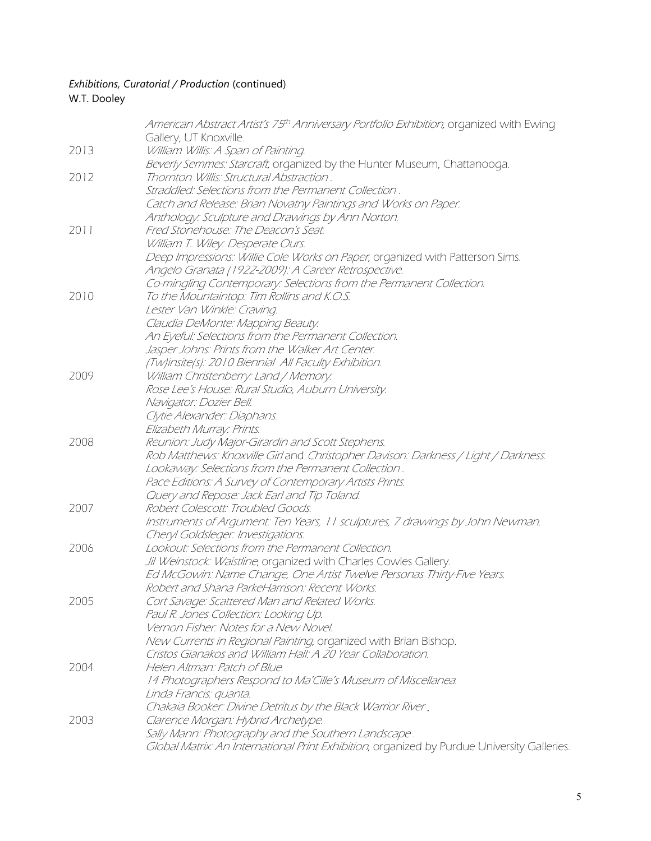#### *Exhibitions, Curatorial / Production* (continued) W.T. Dooley

|      | American Abstract Artist's 75th Anniversary Portfolio Exhibition, organized with Ewing      |
|------|---------------------------------------------------------------------------------------------|
| 2013 | Gallery, UT Knoxville.<br>William Willis: A Span of Painting.                               |
|      | Beverly Semmes: Starcraft, organized by the Hunter Museum, Chattanooga.                     |
|      | Thornton Willis: Structural Abstraction.                                                    |
| 2012 | Straddled: Selections from the Permanent Collection.                                        |
|      |                                                                                             |
|      | Catch and Release: Brian Novatny Paintings and Works on Paper.                              |
|      | Anthology: Sculpture and Drawings by Ann Norton.                                            |
| 2011 | Fred Stonehouse: The Deacon's Seat.                                                         |
|      | William T. Wiley: Desperate Ours.                                                           |
|      | Deep Impressions: Willie Cole Works on Paper, organized with Patterson Sims.                |
|      | Angelo Granata (1922-2009): A Career Retrospective.                                         |
|      | Co-mingling Contemporary: Selections from the Permanent Collection.                         |
| 2010 | To the Mountaintop: Tim Rollins and K.O.S.                                                  |
|      | Lester Van Winkle: Craving.                                                                 |
|      | Claudia DeMonte: Mapping Beauty.                                                            |
|      | An Eyeful: Selections from the Permanent Collection.                                        |
|      | Jasper Johns: Prints from the Walker Art Center.                                            |
|      | (Tw)insite(s): 2010 Biennial All Faculty Exhibition.                                        |
| 2009 | William Christenberry: Land / Memory.                                                       |
|      | Rose Lee's House: Rural Studio, Auburn University.                                          |
|      | Navigator: Dozier Bell.                                                                     |
|      | Clytie Alexander: Diaphans.                                                                 |
|      | Elizabeth Murray: Prints.                                                                   |
| 2008 | Reunion: Judy Major-Girardin and Scott Stephens.                                            |
|      | Rob Matthews: Knoxville Girl and Christopher Davison: Darkness / Light / Darkness.          |
|      | Lookaway: Selections from the Permanent Collection.                                         |
|      | Pace Editions: A Survey of Contemporary Artists Prints.                                     |
|      | Query and Repose: Jack Earl and Tip Toland.                                                 |
| 2007 | Robert Colescott: Troubled Goods.                                                           |
|      | Instruments of Argument: Ten Years, 11 sculptures, 7 drawings by John Newman.               |
|      | Cheryl Goldsleger: Investigations.                                                          |
| 2006 | Lookout: Selections from the Permanent Collection.                                          |
|      | Jil Weinstock: Waistline, organized with Charles Cowles Gallery.                            |
|      | Ed McGowin: Name Change, One Artist Twelve Personas Thirty-Five Years.                      |
|      | Robert and Shana ParkeHarrison: Recent Works.                                               |
| 2005 | Cort Savage: Scattered Man and Related Works.                                               |
|      | Paul R. Jones Collection: Looking Up.                                                       |
|      | Vernon Fisher: Notes for a New Novel.                                                       |
|      | New Currents in Regional Painting, organized with Brian Bishop.                             |
|      | Cristos Gianakos and William Hall: A 20 Year Collaboration.                                 |
| 2004 | Helen Altman: Patch of Blue.                                                                |
|      | 14 Photographers Respond to Ma'Cille's Museum of Miscellanea.                               |
|      | Linda Francis: quanta.                                                                      |
|      | Chakaia Booker: Divine Detritus by the Black Warrior River.                                 |
| 2003 | Clarence Morgan: Hybrid Archetype.                                                          |
|      | Sally Mann: Photography and the Southern Landscape.                                         |
|      | Global Matrix: An International Print Exhibition, organized by Purdue University Galleries. |
|      |                                                                                             |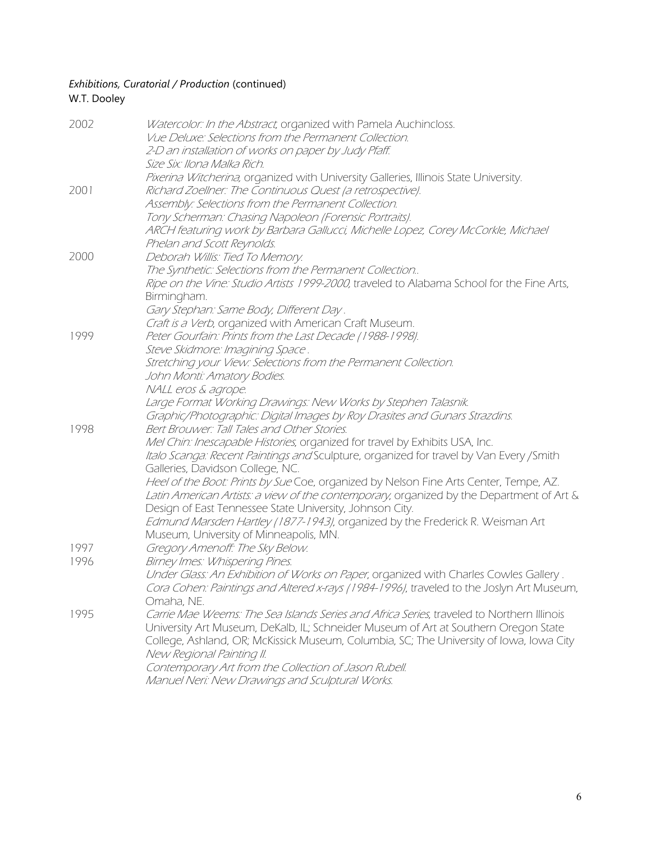#### *Exhibitions, Curatorial / Production* (continued) W.T. Dooley

| Watercolor: In the Abstract, organized with Pamela Auchincloss.<br>Vue Deluxe: Selections from the Permanent Collection.<br>2-D an installation of works on paper by Judy Pfaff.<br>Size Six: Ilona Malka Rich.                                                                                                                                                                                                      |
|----------------------------------------------------------------------------------------------------------------------------------------------------------------------------------------------------------------------------------------------------------------------------------------------------------------------------------------------------------------------------------------------------------------------|
| Pixerina Witcherina, organized with University Galleries, Illinois State University.<br>Richard Zoellner: The Continuous Quest (a retrospective).<br>Assembly: Selections from the Permanent Collection.                                                                                                                                                                                                             |
| Tony Scherman: Chasing Napoleon (Forensic Portraits).<br>ARCH featuring work by Barbara Gallucci, Michelle Lopez, Corey McCorkle, Michael<br>Phelan and Scott Reynolds.                                                                                                                                                                                                                                              |
| Deborah Willis: Tied To Memory.<br>The Synthetic: Selections from the Permanent Collection<br>Ripe on the Vine: Studio Artists 1999-2000, traveled to Alabama School for the Fine Arts,<br>Birmingham.<br>Gary Stephan: Same Body, Different Day.                                                                                                                                                                    |
| Craft is a Verb, organized with American Craft Museum.<br>Peter Gourfain: Prints from the Last Decade (1988-1998).<br>Steve Skidmore: Imagining Space.<br>Stretching your View: Selections from the Permanent Collection.                                                                                                                                                                                            |
| John Monti: Amatory Bodies.<br>NALL eros & agrope.<br>Large Format Working Drawings: New Works by Stephen Talasnik.<br>Graphic/Photographic: Digital Images by Roy Drasites and Gunars Strazdins.                                                                                                                                                                                                                    |
| Bert Brouwer: Tall Tales and Other Stories.<br>Mel Chin: Inescapable Histories, organized for travel by Exhibits USA, Inc.<br>Italo Scanga: Recent Paintings and Sculpture, organized for travel by Van Every / Smith<br>Galleries, Davidson College, NC.<br>Heel of the Boot: Prints by Sue Coe, organized by Nelson Fine Arts Center, Tempe, AZ.                                                                   |
| Latin American Artists: a view of the contemporary, organized by the Department of Art &<br>Design of East Tennessee State University, Johnson City.<br>Edmund Marsden Hartley (1877-1943), organized by the Frederick R. Weisman Art<br>Museum, University of Minneapolis, MN.                                                                                                                                      |
| Gregory Amenoff: The Sky Below.<br>Birney Imes: Whispering Pines.<br>Under Glass: An Exhibition of Works on Paper, organized with Charles Cowles Gallery.<br>Cora Cohen: Paintings and Altered x-rays (1984-1996), traveled to the Joslyn Art Museum,<br>Omaha, NE.                                                                                                                                                  |
| Carrie Mae Weems: The Sea Islands Series and Africa Series, traveled to Northern Illinois<br>University Art Museum, DeKalb, IL; Schneider Museum of Art at Southern Oregon State<br>College, Ashland, OR; McKissick Museum, Columbia, SC; The University of Iowa, Iowa City<br>New Regional Painting II.<br>Contemporary Art from the Collection of Jason Rubell.<br>Manuel Neri: New Drawings and Sculptural Works. |
|                                                                                                                                                                                                                                                                                                                                                                                                                      |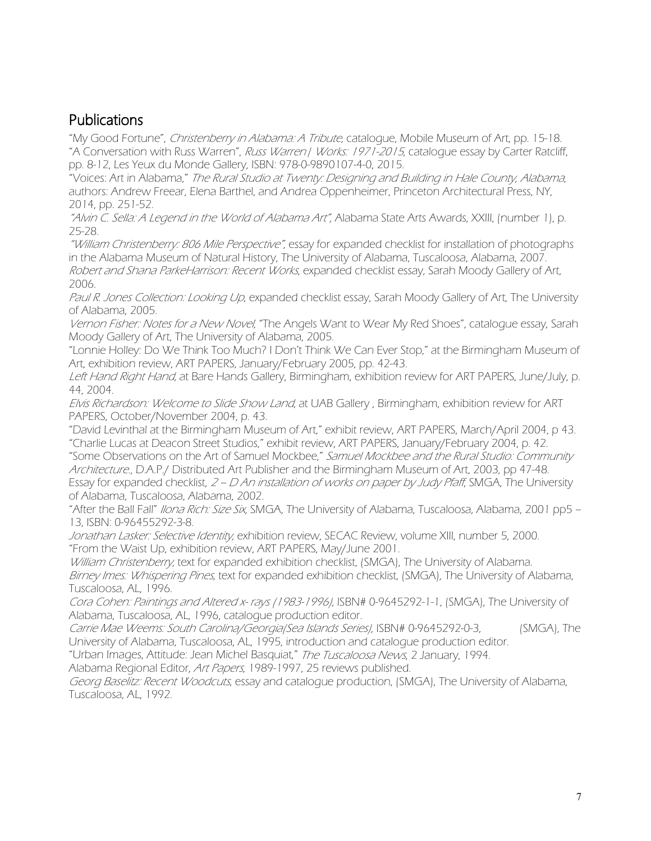## Publications

"My Good Fortune", Christenberry in Alabama: A Tribute, catalogue, Mobile Museum of Art, pp. 15-18. "A Conversation with Russ Warren", Russ Warren | Works: 1971-2015, catalogue essay by Carter Ratcliff, pp. 8-12, Les Yeux du Monde Gallery, ISBN: 978-0-9890107-4-0, 2015.

"Voices: Art in Alabama," The Rural Studio at Twenty: Designing and Building in Hale County, Alabama, authors: Andrew Freear, Elena Barthel, and Andrea Oppenheimer, Princeton Architectural Press, NY, 2014, pp. 251-52.

"Alvin C. Sella: A Legend in the World of Alabama Art", Alabama State Arts Awards, XXIII, (number 1), p. 25-28.

"William Christenberry: 806 Mile Perspective", essay for expanded checklist for installation of photographs in the Alabama Museum of Natural History, The University of Alabama, Tuscaloosa, Alabama, 2007. Robert and Shana ParkeHarrison: Recent Works, expanded checklist essay, Sarah Moody Gallery of Art, 2006.

Paul R. Jones Collection: Looking Up, expanded checklist essay, Sarah Moody Gallery of Art, The University of Alabama, 2005.

Vernon Fisher: Notes for a New Novel, "The Angels Want to Wear My Red Shoes", catalogue essay, Sarah Moody Gallery of Art, The University of Alabama, 2005.

"Lonnie Holley: Do We Think Too Much? I Don't Think We Can Ever Stop," at the Birmingham Museum of Art, exhibition review, ART PAPERS, January/February 2005, pp. 42-43.

Left Hand Right Hand, at Bare Hands Gallery, Birmingham, exhibition review for ART PAPERS, June/July, p. 44, 2004.

Elvis Richardson: Welcome to Slide Show Land, at UAB Gallery, Birmingham, exhibition review for ART PAPERS, October/November 2004, p. 43.

"David Levinthal at the Birmingham Museum of Art," exhibit review, ART PAPERS, March/April 2004, p 43. "Charlie Lucas at Deacon Street Studios," exhibit review, ART PAPERS, January/February 2004, p. 42.

"Some Observations on the Art of Samuel Mockbee," Samuel Mockbee and the Rural Studio: Community Architecture., D.A.P./ Distributed Art Publisher and the Birmingham Museum of Art, 2003, pp 47-48. Essay for expanded checklist,  $2$  – D An installation of works on paper by Judy Pfaff, SMGA, The University of Alabama, Tuscaloosa, Alabama, 2002.

"After the Ball Fall" *Ilona Rich: Size Six,* SMGA, The University of Alabama, Tuscaloosa, Alabama, 2001 pp5 – 13, ISBN: 0-96455292-3-8.

Jonathan Lasker: Selective Identity, exhibition review, SECAC Review, volume XIII, number 5, 2000. "From the Waist Up, exhibition review, ART PAPERS, May/June 2001.

William Christenberry, text for expanded exhibition checklist, (SMGA), The University of Alabama.

Birney Imes: Whispering Pines, text for expanded exhibition checklist, (SMGA), The University of Alabama, Tuscaloosa, AL, 1996.

Cora Cohen: Paintings and Altered x- rays (1983-1996), ISBN# 0-9645292-1-1, (SMGA), The University of Alabama, Tuscaloosa, AL, 1996, catalogue production editor.

Carrie Mae Weems: South Carolina/Georgia(Sea Islands Series), ISBN# 0-9645292-0-3, (SMGA), The University of Alabama, Tuscaloosa, AL, 1995, introduction and catalogue production editor.

"Urban Images, Attitude: Jean Michel Basquiat," The Tuscaloosa News, 2 January, 1994.

Alabama Regional Editor, Art Papers, 1989-1997, 25 reviews published.

Georg Baselitz: Recent Woodcuts, essay and cataloque production, (SMGA), The University of Alabama, Tuscaloosa, AL, 1992.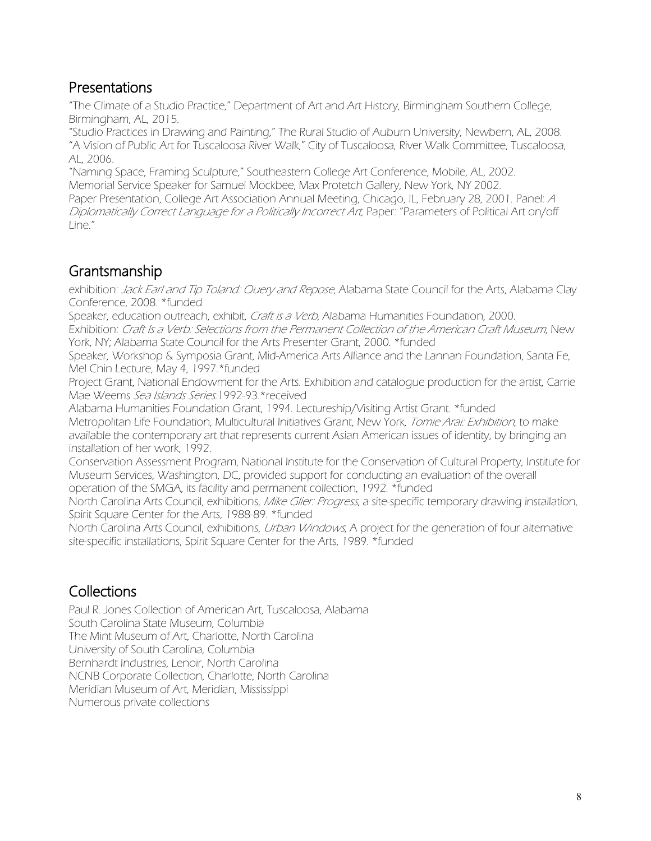### Presentations

"The Climate of a Studio Practice," Department of Art and Art History, Birmingham Southern College, Birmingham, AL, 2015.

"Studio Practices in Drawing and Painting," The Rural Studio of Auburn University, Newbern, AL, 2008. "A Vision of Public Art for Tuscaloosa River Walk," City of Tuscaloosa, River Walk Committee, Tuscaloosa, AL, 2006.

"Naming Space, Framing Sculpture," Southeastern College Art Conference, Mobile, AL, 2002. Memorial Service Speaker for Samuel Mockbee, Max Protetch Gallery, New York, NY 2002. Paper Presentation, College Art Association Annual Meeting, Chicago, IL, February 28, 2001. Panel: <sup>A</sup> Diplomatically Correct Language for a Politically Incorrect Art, Paper: "Parameters of Political Art on/off Line."

## Grantsmanship

exhibition: Jack Earl and Tip Toland: Query and Repose, Alabama State Council for the Arts, Alabama Clay Conference, 2008. \*funded

Speaker, education outreach, exhibit, Craft is a Verb, Alabama Humanities Foundation, 2000. Exhibition: Craft Is a Verb: Selections from the Permanent Collection of the American Craft Museum, New York, NY; Alabama State Council for the Arts Presenter Grant, 2000. \*funded

Speaker, Workshop & Symposia Grant, Mid-America Arts Alliance and the Lannan Foundation, Santa Fe, Mel Chin Lecture, May 4, 1997.\*funded

Project Grant, National Endowment for the Arts. Exhibition and catalogue production for the artist, Carrie Mae Weems Sea Islands Series.1992-93.\*received

Alabama Humanities Foundation Grant, 1994. Lectureship/Visiting Artist Grant. \*funded Metropolitan Life Foundation, Multicultural Initiatives Grant, New York, Tomie Arai: Exhibition, to make available the contemporary art that represents current Asian American issues of identity, by bringing an installation of her work, 1992.

Conservation Assessment Program, National Institute for the Conservation of Cultural Property, Institute for Museum Services, Washington, DC, provided support for conducting an evaluation of the overall operation of the SMGA, its facility and permanent collection, 1992. \*funded

North Carolina Arts Council, exhibitions, *Mike Glier: Progress*, a site-specific temporary drawing installation, Spirit Square Center for the Arts, 1988-89. \*funded

North Carolina Arts Council, exhibitions, *Urban Windows*, A project for the generation of four alternative site-specific installations, Spirit Square Center for the Arts, 1989. \*funded

# Collections

Paul R. Jones Collection of American Art, Tuscaloosa, Alabama South Carolina State Museum, Columbia The Mint Museum of Art, Charlotte, North Carolina University of South Carolina, Columbia Bernhardt Industries, Lenoir, North Carolina NCNB Corporate Collection, Charlotte, North Carolina Meridian Museum of Art, Meridian, Mississippi Numerous private collections